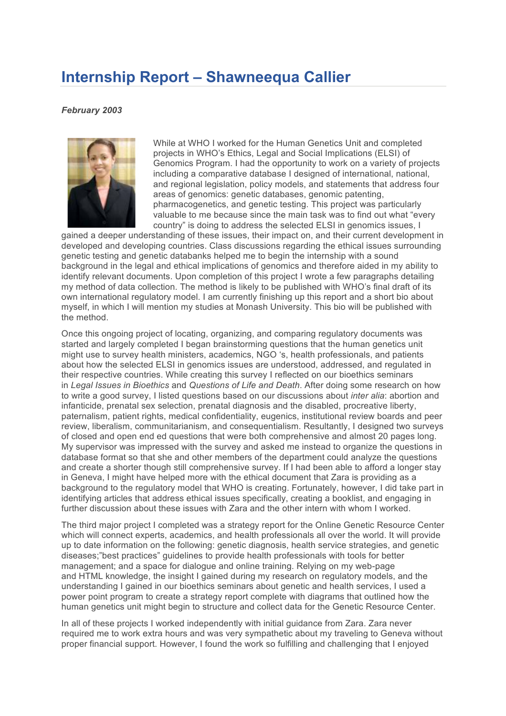## **Internship Report – Shawneequa Callier**

## *February 2003*



While at WHO I worked for the Human Genetics Unit and completed projects in WHO's Ethics, Legal and Social Implications (ELSI) of Genomics Program. I had the opportunity to work on a variety of projects including a comparative database I designed of international, national, and regional legislation, policy models, and statements that address four areas of genomics: genetic databases, genomic patenting, pharmacogenetics, and genetic testing. This project was particularly valuable to me because since the main task was to find out what "every country" is doing to address the selected ELSI in genomics issues, I

gained a deeper understanding of these issues, their impact on, and their current development in developed and developing countries. Class discussions regarding the ethical issues surrounding genetic testing and genetic databanks helped me to begin the internship with a sound background in the legal and ethical implications of genomics and therefore aided in my ability to identify relevant documents. Upon completion of this project I wrote a few paragraphs detailing my method of data collection. The method is likely to be published with WHO's final draft of its own international regulatory model. I am currently finishing up this report and a short bio about myself, in which I will mention my studies at Monash University. This bio will be published with the method.

Once this ongoing project of locating, organizing, and comparing regulatory documents was started and largely completed I began brainstorming questions that the human genetics unit might use to survey health ministers, academics, NGO 's, health professionals, and patients about how the selected ELSI in genomics issues are understood, addressed, and regulated in their respective countries. While creating this survey I reflected on our bioethics seminars in *Legal Issues in Bioethics* and *Questions of Life and Death*. After doing some research on how to write a good survey, I listed questions based on our discussions about *inter alia*: abortion and infanticide, prenatal sex selection, prenatal diagnosis and the disabled, procreative liberty, paternalism, patient rights, medical confidentiality, eugenics, institutional review boards and peer review, liberalism, communitarianism, and consequentialism. Resultantly, I designed two surveys of closed and open end ed questions that were both comprehensive and almost 20 pages long. My supervisor was impressed with the survey and asked me instead to organize the questions in database format so that she and other members of the department could analyze the questions and create a shorter though still comprehensive survey. If I had been able to afford a longer stay in Geneva, I might have helped more with the ethical document that Zara is providing as a background to the regulatory model that WHO is creating. Fortunately, however, I did take part in identifying articles that address ethical issues specifically, creating a booklist, and engaging in further discussion about these issues with Zara and the other intern with whom I worked.

The third major project I completed was a strategy report for the Online Genetic Resource Center which will connect experts, academics, and health professionals all over the world. It will provide up to date information on the following: genetic diagnosis, health service strategies, and genetic diseases;"best practices" guidelines to provide health professionals with tools for better management; and a space for dialogue and online training. Relying on my web-page and HTML knowledge, the insight I gained during my research on regulatory models, and the understanding I gained in our bioethics seminars about genetic and health services, I used a power point program to create a strategy report complete with diagrams that outlined how the human genetics unit might begin to structure and collect data for the Genetic Resource Center.

In all of these projects I worked independently with initial guidance from Zara. Zara never required me to work extra hours and was very sympathetic about my traveling to Geneva without proper financial support. However, I found the work so fulfilling and challenging that I enjoyed